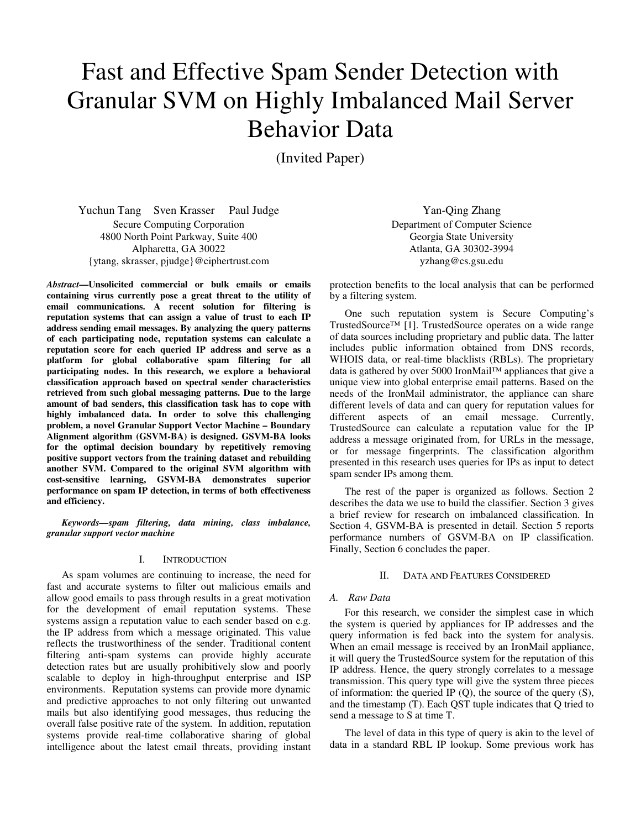# Fast and Effective Spam Sender Detection with Granular SVM on Highly Imbalanced Mail Server Behavior Data

(Invited Paper)

Yuchun Tang Sven Krasser Paul Judge Secure Computing Corporation 4800 North Point Parkway, Suite 400 Alpharetta, GA 30022 {ytang, skrasser, pjudge}@ciphertrust.com

*Abstract***—Unsolicited commercial or bulk emails or emails containing virus currently pose a great threat to the utility of email communications. A recent solution for filtering is reputation systems that can assign a value of trust to each IP address sending email messages. By analyzing the query patterns of each participating node, reputation systems can calculate a reputation score for each queried IP address and serve as a platform for global collaborative spam filtering for all participating nodes. In this research, we explore a behavioral classification approach based on spectral sender characteristics retrieved from such global messaging patterns. Due to the large amount of bad senders, this classification task has to cope with highly imbalanced data. In order to solve this challenging problem, a novel Granular Support Vector Machine – Boundary Alignment algorithm (GSVM-BA) is designed. GSVM-BA looks for the optimal decision boundary by repetitively removing positive support vectors from the training dataset and rebuilding another SVM. Compared to the original SVM algorithm with cost-sensitive learning, GSVM-BA demonstrates superior performance on spam IP detection, in terms of both effectiveness and efficiency.** 

*Keywords—spam filtering, data mining, class imbalance, granular support vector machine* 

# I. INTRODUCTION

As spam volumes are continuing to increase, the need for fast and accurate systems to filter out malicious emails and allow good emails to pass through results in a great motivation for the development of email reputation systems. These systems assign a reputation value to each sender based on e.g. the IP address from which a message originated. This value reflects the trustworthiness of the sender. Traditional content filtering anti-spam systems can provide highly accurate detection rates but are usually prohibitively slow and poorly scalable to deploy in high-throughput enterprise and ISP environments. Reputation systems can provide more dynamic and predictive approaches to not only filtering out unwanted mails but also identifying good messages, thus reducing the overall false positive rate of the system. In addition, reputation systems provide real-time collaborative sharing of global intelligence about the latest email threats, providing instant

Yan-Qing Zhang Department of Computer Science Georgia State University Atlanta, GA 30302-3994 yzhang@cs.gsu.edu

protection benefits to the local analysis that can be performed by a filtering system.

One such reputation system is Secure Computing's TrustedSource™ [1]. TrustedSource operates on a wide range of data sources including proprietary and public data. The latter includes public information obtained from DNS records, WHOIS data, or real-time blacklists (RBLs). The proprietary data is gathered by over 5000 IronMail™ appliances that give a unique view into global enterprise email patterns. Based on the needs of the IronMail administrator, the appliance can share different levels of data and can query for reputation values for different aspects of an email message. Currently, TrustedSource can calculate a reputation value for the IP address a message originated from, for URLs in the message, or for message fingerprints. The classification algorithm presented in this research uses queries for IPs as input to detect spam sender IPs among them.

The rest of the paper is organized as follows. Section 2 describes the data we use to build the classifier. Section 3 gives a brief review for research on imbalanced classification. In Section 4, GSVM-BA is presented in detail. Section 5 reports performance numbers of GSVM-BA on IP classification. Finally, Section 6 concludes the paper.

# II. DATA AND FEATURES CONSIDERED

# *A. Raw Data*

For this research, we consider the simplest case in which the system is queried by appliances for IP addresses and the query information is fed back into the system for analysis. When an email message is received by an IronMail appliance, it will query the TrustedSource system for the reputation of this IP address. Hence, the query strongly correlates to a message transmission. This query type will give the system three pieces of information: the queried IP  $(Q)$ , the source of the query  $(S)$ , and the timestamp (T). Each QST tuple indicates that Q tried to send a message to S at time T.

The level of data in this type of query is akin to the level of data in a standard RBL IP lookup. Some previous work has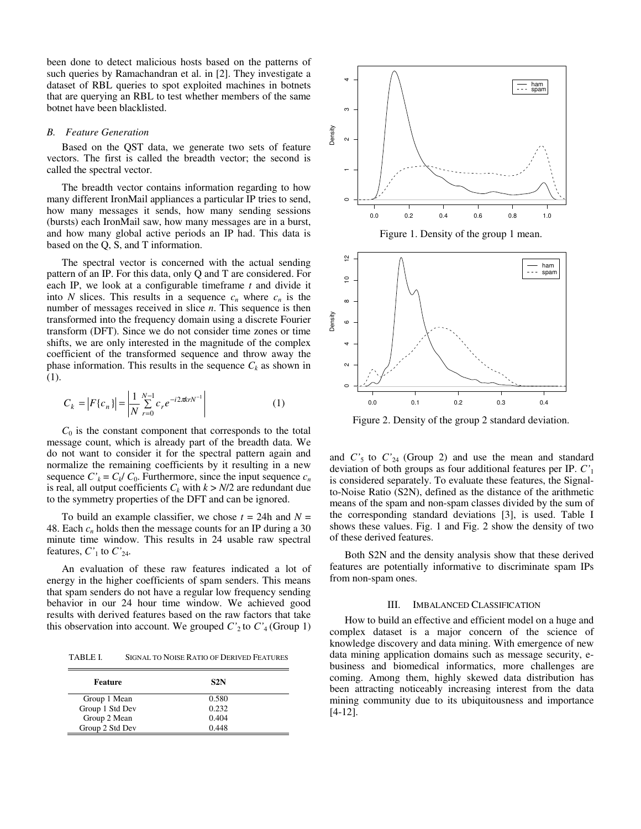been done to detect malicious hosts based on the patterns of such queries by Ramachandran et al. in [2]. They investigate a dataset of RBL queries to spot exploited machines in botnets that are querying an RBL to test whether members of the same botnet have been blacklisted.

# *B. Feature Generation*

Based on the QST data, we generate two sets of feature vectors. The first is called the breadth vector; the second is called the spectral vector.

The breadth vector contains information regarding to how many different IronMail appliances a particular IP tries to send, how many messages it sends, how many sending sessions (bursts) each IronMail saw, how many messages are in a burst, and how many global active periods an IP had. This data is based on the Q, S, and T information.

The spectral vector is concerned with the actual sending pattern of an IP. For this data, only Q and T are considered. For each IP, we look at a configurable timeframe *t* and divide it into *N* slices. This results in a sequence  $c_n$  where  $c_n$  is the number of messages received in slice *n*. This sequence is then transformed into the frequency domain using a discrete Fourier transform (DFT). Since we do not consider time zones or time shifts, we are only interested in the magnitude of the complex coefficient of the transformed sequence and throw away the phase information. This results in the sequence  $C_k$  as shown in (1).

$$
C_k = |F\{c_n\}| = \left| \frac{1}{N} \sum_{r=0}^{N-1} c_r e^{-i2\pi krN^{-1}} \right| \tag{1}
$$

 $C_0$  is the constant component that corresponds to the total message count, which is already part of the breadth data. We do not want to consider it for the spectral pattern again and normalize the remaining coefficients by it resulting in a new sequence  $C'_{k} = C_{k} / C_{0}$ . Furthermore, since the input sequence  $c_{n}$ is real, all output coefficients  $C_k$  with  $k > N/2$  are redundant due to the symmetry properties of the DFT and can be ignored.

To build an example classifier, we chose  $t = 24$ h and  $N =$ 48. Each  $c_n$  holds then the message counts for an IP during a 30 minute time window. This results in 24 usable raw spectral features,  $C<sub>1</sub>$  to  $C<sub>24</sub>$ .

An evaluation of these raw features indicated a lot of energy in the higher coefficients of spam senders. This means that spam senders do not have a regular low frequency sending behavior in our 24 hour time window. We achieved good results with derived features based on the raw factors that take this observation into account. We grouped  $C'_2$  to  $C'_4$  (Group 1)

TABLE I. SIGNAL TO NOISE RATIO OF DERIVED FEATURES

÷,

| <b>Feature</b>  | S <sub>2N</sub> |
|-----------------|-----------------|
| Group 1 Mean    | 0.580           |
| Group 1 Std Dev | 0.232           |
| Group 2 Mean    | 0.404           |
| Group 2 Std Dev | 0.448           |





Figure 2. Density of the group 2 standard deviation.

and  $C'_{5}$  to  $C'_{24}$  (Group 2) and use the mean and standard deviation of both groups as four additional features per IP. *C'*<sup>1</sup> is considered separately. To evaluate these features, the Signalto-Noise Ratio (S2N), defined as the distance of the arithmetic means of the spam and non-spam classes divided by the sum of the corresponding standard deviations [3], is used. Table I shows these values. Fig. 1 and Fig. 2 show the density of two of these derived features.

Both S2N and the density analysis show that these derived features are potentially informative to discriminate spam IPs from non-spam ones.

#### III. IMBALANCED CLASSIFICATION

How to build an effective and efficient model on a huge and complex dataset is a major concern of the science of knowledge discovery and data mining. With emergence of new data mining application domains such as message security, ebusiness and biomedical informatics, more challenges are coming. Among them, highly skewed data distribution has been attracting noticeably increasing interest from the data mining community due to its ubiquitousness and importance [4-12].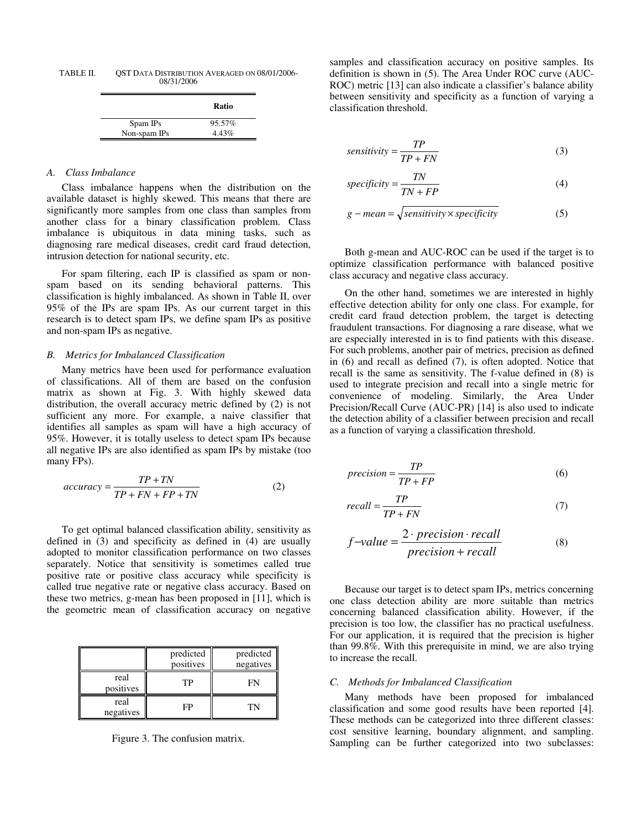TABLE II. QST DATA DISTRIBUTION AVERAGED ON 08/01/2006- 08/31/2006

|              | Ratio  |
|--------------|--------|
| Spam IPs     | 95.57% |
| Non-spam IPs | 4.43%  |

# *A. Class Imbalance*

Class imbalance happens when the distribution on the available dataset is highly skewed. This means that there are significantly more samples from one class than samples from another class for a binary classification problem. Class imbalance is ubiquitous in data mining tasks, such as diagnosing rare medical diseases, credit card fraud detection, intrusion detection for national security, etc.

For spam filtering, each IP is classified as spam or nonspam based on its sending behavioral patterns. This classification is highly imbalanced. As shown in Table II, over 95% of the IPs are spam IPs. As our current target in this research is to detect spam IPs, we define spam IPs as positive and non-spam IPs as negative.

# *B. Metrics for Imbalanced Classification*

Many metrics have been used for performance evaluation of classifications. All of them are based on the confusion matrix as shown at Fig. 3. With highly skewed data distribution, the overall accuracy metric defined by (2) is not sufficient any more. For example, a naive classifier that identifies all samples as spam will have a high accuracy of 95%. However, it is totally useless to detect spam IPs because all negative IPs are also identified as spam IPs by mistake (too many FPs).

$$
accuracy = \frac{TP + TN}{TP + FN + FP + TN}
$$
 (2)

To get optimal balanced classification ability, sensitivity as defined in (3) and specificity as defined in (4) are usually adopted to monitor classification performance on two classes separately. Notice that sensitivity is sometimes called true positive rate or positive class accuracy while specificity is called true negative rate or negative class accuracy. Based on these two metrics, g-mean has been proposed in [11], which is the geometric mean of classification accuracy on negative

|                   | predicted<br>positives | predicted  <br>negatives |
|-------------------|------------------------|--------------------------|
| real<br>positives | TP                     | FN                       |
| real<br>negatives | FΡ                     | Ί'N                      |

Figure 3. The confusion matrix.

samples and classification accuracy on positive samples. Its definition is shown in (5). The Area Under ROC curve (AUC-ROC) metric [13] can also indicate a classifier's balance ability between sensitivity and specificity as a function of varying a classification threshold.

$$
sensitivity = \frac{TP}{TP + FN}
$$
 (3)

$$
specificity = \frac{TN}{TN + FP}
$$
 (4)

$$
g - mean = \sqrt{sensitivity \times specificity}
$$
 (5)

Both g-mean and AUC-ROC can be used if the target is to optimize classification performance with balanced positive class accuracy and negative class accuracy.

On the other hand, sometimes we are interested in highly effective detection ability for only one class. For example, for credit card fraud detection problem, the target is detecting fraudulent transactions. For diagnosing a rare disease, what we are especially interested in is to find patients with this disease. For such problems, another pair of metrics, precision as defined in (6) and recall as defined (7), is often adopted. Notice that recall is the same as sensitivity. The f-value defined in (8) is used to integrate precision and recall into a single metric for convenience of modeling. Similarly, the Area Under Precision/Recall Curve (AUC-PR) [14] is also used to indicate the detection ability of a classifier between precision and recall as a function of varying a classification threshold.

$$
precision = \frac{TP}{TP + FP}
$$
 (6)

$$
recall = \frac{TP}{TP + FN} \tag{7}
$$

$$
f-value = \frac{2 \cdot precision \cdot recall}{precision + recall}
$$
 (8)

Because our target is to detect spam IPs, metrics concerning one class detection ability are more suitable than metrics concerning balanced classification ability. However, if the precision is too low, the classifier has no practical usefulness. For our application, it is required that the precision is higher than 99.8%. With this prerequisite in mind, we are also trying to increase the recall.

#### *C. Methods for Imbalanced Classification*

Many methods have been proposed for imbalanced classification and some good results have been reported [4]. These methods can be categorized into three different classes: cost sensitive learning, boundary alignment, and sampling. Sampling can be further categorized into two subclasses: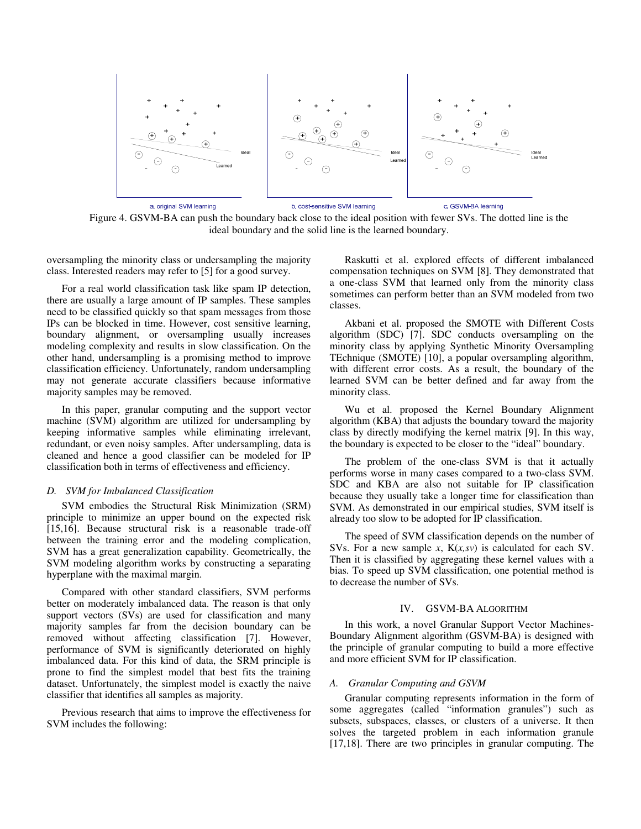

Figure 4. GSVM-BA can push the boundary back close to the ideal position with fewer SVs. The dotted line is the ideal boundary and the solid line is the learned boundary.

oversampling the minority class or undersampling the majority class. Interested readers may refer to [5] for a good survey.

For a real world classification task like spam IP detection, there are usually a large amount of IP samples. These samples need to be classified quickly so that spam messages from those IPs can be blocked in time. However, cost sensitive learning, boundary alignment, or oversampling usually increases modeling complexity and results in slow classification. On the other hand, undersampling is a promising method to improve classification efficiency. Unfortunately, random undersampling may not generate accurate classifiers because informative majority samples may be removed.

In this paper, granular computing and the support vector machine (SVM) algorithm are utilized for undersampling by keeping informative samples while eliminating irrelevant, redundant, or even noisy samples. After undersampling, data is cleaned and hence a good classifier can be modeled for IP classification both in terms of effectiveness and efficiency.

#### *D. SVM for Imbalanced Classification*

SVM embodies the Structural Risk Minimization (SRM) principle to minimize an upper bound on the expected risk [15,16]. Because structural risk is a reasonable trade-off between the training error and the modeling complication, SVM has a great generalization capability. Geometrically, the SVM modeling algorithm works by constructing a separating hyperplane with the maximal margin.

Compared with other standard classifiers, SVM performs better on moderately imbalanced data. The reason is that only support vectors (SVs) are used for classification and many majority samples far from the decision boundary can be removed without affecting classification [7]. However, performance of SVM is significantly deteriorated on highly imbalanced data. For this kind of data, the SRM principle is prone to find the simplest model that best fits the training dataset. Unfortunately, the simplest model is exactly the naive classifier that identifies all samples as majority.

Previous research that aims to improve the effectiveness for SVM includes the following:

Raskutti et al. explored effects of different imbalanced compensation techniques on SVM [8]. They demonstrated that a one-class SVM that learned only from the minority class sometimes can perform better than an SVM modeled from two classes.

Akbani et al. proposed the SMOTE with Different Costs algorithm (SDC) [7]. SDC conducts oversampling on the minority class by applying Synthetic Minority Oversampling TEchnique (SMOTE) [10], a popular oversampling algorithm, with different error costs. As a result, the boundary of the learned SVM can be better defined and far away from the minority class.

Wu et al. proposed the Kernel Boundary Alignment algorithm (KBA) that adjusts the boundary toward the majority class by directly modifying the kernel matrix [9]. In this way, the boundary is expected to be closer to the "ideal" boundary.

The problem of the one-class SVM is that it actually performs worse in many cases compared to a two-class SVM. SDC and KBA are also not suitable for IP classification because they usually take a longer time for classification than SVM. As demonstrated in our empirical studies, SVM itself is already too slow to be adopted for IP classification.

The speed of SVM classification depends on the number of SVs. For a new sample *x*, K(*x,sv*) is calculated for each SV. Then it is classified by aggregating these kernel values with a bias. To speed up SVM classification, one potential method is to decrease the number of SVs.

## IV. GSVM-BA ALGORITHM

In this work, a novel Granular Support Vector Machines-Boundary Alignment algorithm (GSVM-BA) is designed with the principle of granular computing to build a more effective and more efficient SVM for IP classification.

## *A. Granular Computing and GSVM*

Granular computing represents information in the form of some aggregates (called "information granules") such as subsets, subspaces, classes, or clusters of a universe. It then solves the targeted problem in each information granule [17,18]. There are two principles in granular computing. The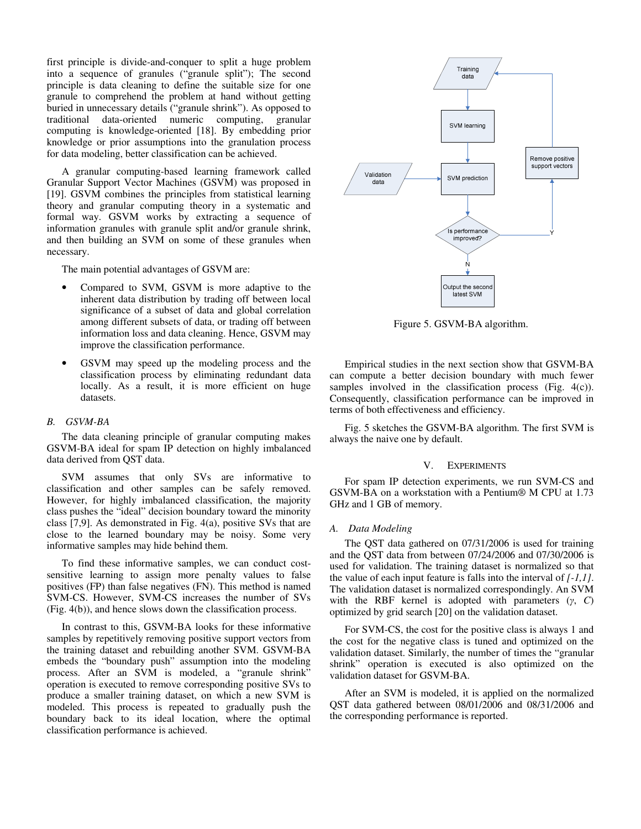first principle is divide-and-conquer to split a huge problem into a sequence of granules ("granule split"); The second principle is data cleaning to define the suitable size for one granule to comprehend the problem at hand without getting buried in unnecessary details ("granule shrink"). As opposed to traditional data-oriented numeric computing, granular computing is knowledge-oriented [18]. By embedding prior knowledge or prior assumptions into the granulation process for data modeling, better classification can be achieved.

A granular computing-based learning framework called Granular Support Vector Machines (GSVM) was proposed in [19]. GSVM combines the principles from statistical learning theory and granular computing theory in a systematic and formal way. GSVM works by extracting a sequence of information granules with granule split and/or granule shrink, and then building an SVM on some of these granules when necessary.

The main potential advantages of GSVM are:

- Compared to SVM, GSVM is more adaptive to the inherent data distribution by trading off between local significance of a subset of data and global correlation among different subsets of data, or trading off between information loss and data cleaning. Hence, GSVM may improve the classification performance.
- GSVM may speed up the modeling process and the classification process by eliminating redundant data locally. As a result, it is more efficient on huge datasets.

## *B. GSVM-BA*

The data cleaning principle of granular computing makes GSVM-BA ideal for spam IP detection on highly imbalanced data derived from QST data.

SVM assumes that only SVs are informative to classification and other samples can be safely removed. However, for highly imbalanced classification, the majority class pushes the "ideal" decision boundary toward the minority class [7,9]. As demonstrated in Fig. 4(a), positive SVs that are close to the learned boundary may be noisy. Some very informative samples may hide behind them.

To find these informative samples, we can conduct costsensitive learning to assign more penalty values to false positives (FP) than false negatives (FN). This method is named SVM-CS. However, SVM-CS increases the number of SVs (Fig. 4(b)), and hence slows down the classification process.

In contrast to this, GSVM-BA looks for these informative samples by repetitively removing positive support vectors from the training dataset and rebuilding another SVM. GSVM-BA embeds the "boundary push" assumption into the modeling process. After an SVM is modeled, a "granule shrink" operation is executed to remove corresponding positive SVs to produce a smaller training dataset, on which a new SVM is modeled. This process is repeated to gradually push the boundary back to its ideal location, where the optimal classification performance is achieved.



Figure 5. GSVM-BA algorithm.

Empirical studies in the next section show that GSVM-BA can compute a better decision boundary with much fewer samples involved in the classification process (Fig.  $4(c)$ ). Consequently, classification performance can be improved in terms of both effectiveness and efficiency.

Fig. 5 sketches the GSVM-BA algorithm. The first SVM is always the naive one by default.

## V. EXPERIMENTS

For spam IP detection experiments, we run SVM-CS and GSVM-BA on a workstation with a Pentium® M CPU at 1.73 GHz and 1 GB of memory.

## *A. Data Modeling*

The QST data gathered on 07/31/2006 is used for training and the QST data from between 07/24/2006 and 07/30/2006 is used for validation. The training dataset is normalized so that the value of each input feature is falls into the interval of *[-1,1]*. The validation dataset is normalized correspondingly. An SVM with the RBF kernel is adopted with parameters (γ, *C*) optimized by grid search [20] on the validation dataset.

For SVM-CS, the cost for the positive class is always 1 and the cost for the negative class is tuned and optimized on the validation dataset. Similarly, the number of times the "granular shrink" operation is executed is also optimized on the validation dataset for GSVM-BA.

After an SVM is modeled, it is applied on the normalized QST data gathered between 08/01/2006 and 08/31/2006 and the corresponding performance is reported.